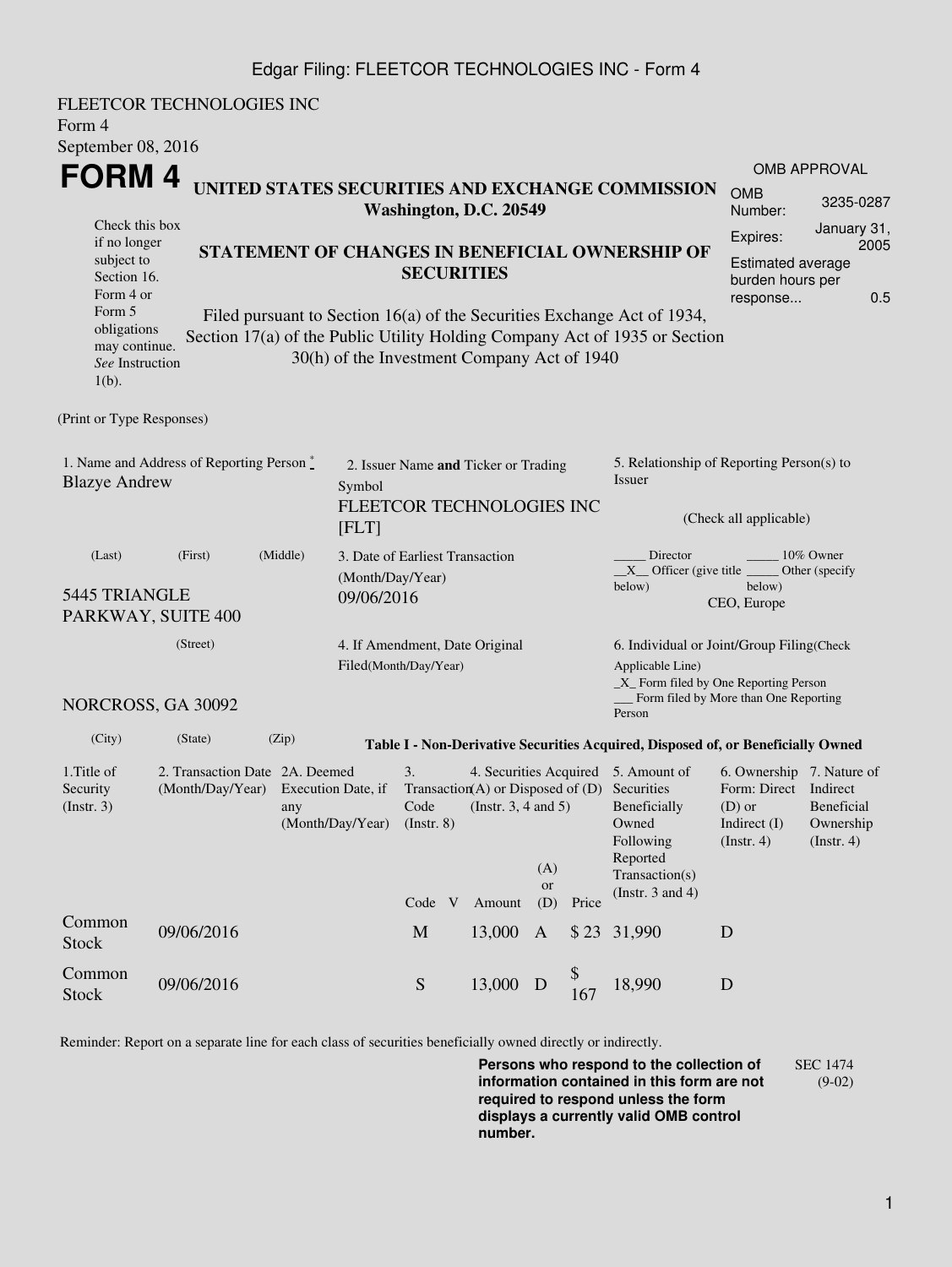## Edgar Filing: FLEETCOR TECHNOLOGIES INC - Form 4

FLEETCOR TECHNOLOGIES INC Form 4 September 08, 2016 **FORM 4** Check this box if no longer subject to Section 16. Form 4 or Form 5 obligations may continue. *See* Instruction 1(b). **UNITED STATES SECURITIES AND EXCHANGE COMMISSION Washington, D.C. 20549 STATEMENT OF CHANGES IN BENEFICIAL OWNERSHIP OF SECURITIES** Filed pursuant to Section 16(a) of the Securities Exchange Act of 1934, Section 17(a) of the Public Utility Holding Company Act of 1935 or Section 30(h) of the Investment Company Act of 1940 OMB APPROVAL OMB Number: 3235-0287 Expires: January 31, 2005 Estimated average burden hours per response... 0.5 (Print or Type Responses) 1. Name and Address of Reporting Person  $\degree$ Blazye Andrew 2. Issuer Name **and** Ticker or Trading Symbol FLEETCOR TECHNOLOGIES INC [FLT] 5. Relationship of Reporting Person(s) to Issuer (Check all applicable) Director \_\_\_\_\_\_\_\_ 10% Owner  $X$ <sup>Officer</sup> (give title below) Other (specify below) CEO, Europe (Last) (First) (Middle) 5445 TRIANGLE PARKWAY, SUITE 400 3. Date of Earliest Transaction (Month/Day/Year) 09/06/2016 (Street) NORCROSS, GA 30092 4. If Amendment, Date Original Filed(Month/Day/Year) 6. Individual or Joint/Group Filing(Check Applicable Line) \_X\_ Form filed by One Reporting Person Form filed by More than One Reporting Person (City) (State) (Zip) **Table I - Non-Derivative Securities Acquired, Disposed of, or Beneficially Owned** 1.Title of Security (Instr. 3) 2. Transaction Date 2A. Deemed (Month/Day/Year) Execution Date, if any (Month/Day/Year) 3. Transaction (A) or Disposed of (D) Code (Instr. 8) 4. Securities Acquired 5. Amount of (Instr. 3, 4 and 5) Securities Beneficially Owned Following Reported Transaction(s) (Instr. 3 and 4) 6. Ownership 7. Nature of Form: Direct Indirect (D) or Indirect (I) (Instr. 4) Beneficial Ownership (Instr. 4) Code V Amount (A) or (D) Price Common Stock 09/06/2016 <sup>M</sup> 13,000 <sup>A</sup> \$ 23 31,990 <sup>D</sup> Common Stock 09/06/2016 Stock 5 13,000 D \$  $^{9}_{167}$  18,990 D

Reminder: Report on a separate line for each class of securities beneficially owned directly or indirectly.

**Persons who respond to the collection of information contained in this form are not required to respond unless the form displays a currently valid OMB control number.** SEC 1474 (9-02)